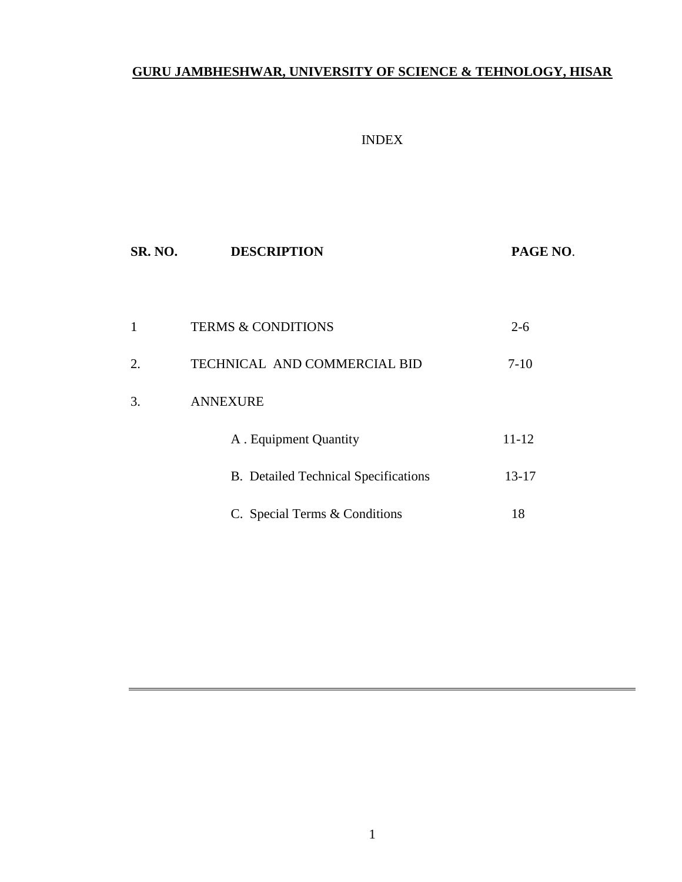# **GURU JAMBHESHWAR, UNIVERSITY OF SCIENCE & TEHNOLOGY, HISAR**

## INDEX

| SR. NO. | <b>DESCRIPTION</b>                          | PAGE NO.  |
|---------|---------------------------------------------|-----------|
|         |                                             |           |
| 1       | <b>TERMS &amp; CONDITIONS</b>               | $2 - 6$   |
| 2.      | TECHNICAL AND COMMERCIAL BID                | $7-10$    |
| 3.      | <b>ANNEXURE</b>                             |           |
|         | A . Equipment Quantity                      | $11 - 12$ |
|         | <b>B.</b> Detailed Technical Specifications | 13-17     |
|         | C. Special Terms & Conditions               | 18        |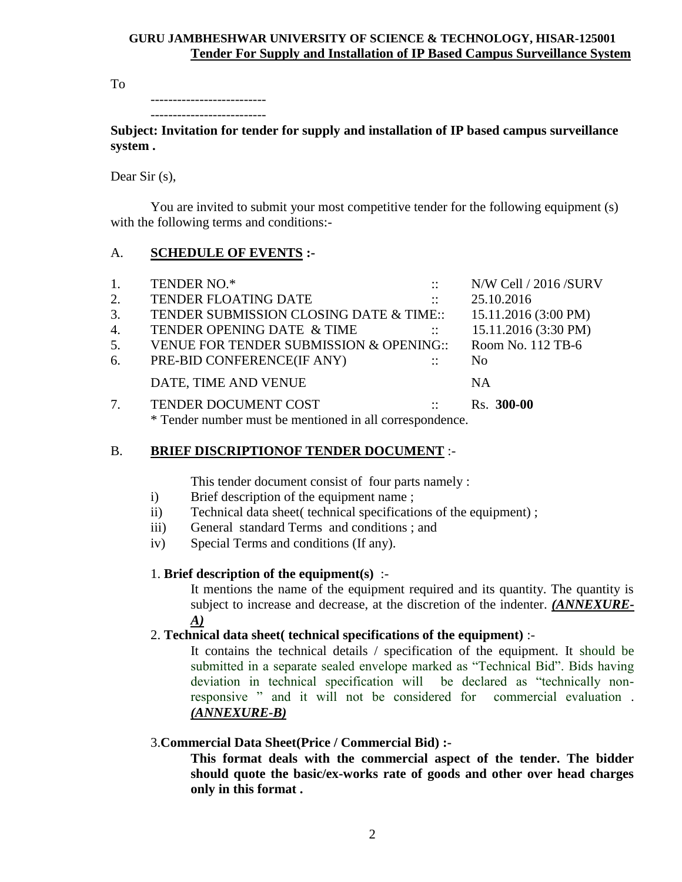## **GURU JAMBHESHWAR UNIVERSITY OF SCIENCE & TECHNOLOGY, HISAR-125001 Tender For Supply and Installation of IP Based Campus Surveillance System**

To

--------------------------

-------------------------- **Subject: Invitation for tender for supply and installation of IP based campus surveillance system .**

Dear Sir (s),

You are invited to submit your most competitive tender for the following equipment (s) with the following terms and conditions:-

# A. **SCHEDULE OF EVENTS :-**

| 1. | TENDER NO.*                                              | $\mathbb{R}^2$                 | N/W Cell / 2016 /SURV |
|----|----------------------------------------------------------|--------------------------------|-----------------------|
| 2. | <b>TENDER FLOATING DATE</b>                              | $\sim$ 11 $\sim$               | 25.10.2016            |
| 3. | TENDER SUBMISSION CLOSING DATE & TIME::                  |                                | 15.11.2016 (3:00 PM)  |
| 4. | TENDER OPENING DATE & TIME                               | $\sim 10^{11}$ km $^{-1}$      | 15.11.2016 (3:30 PM)  |
| 5. | VENUE FOR TENDER SUBMISSION & OPENING::                  |                                | Room No. 112 TB-6     |
| 6. | PRE-BID CONFERENCE(IF ANY)                               | <b>Contract Contract State</b> | N <sub>0</sub>        |
|    | DATE, TIME AND VENUE                                     |                                | NA                    |
|    | TENDER DOCUMENT COST                                     | <b>Contract Contract State</b> | Rs. 300-00            |
|    | * Tender number must be mentioned in all correspondence. |                                |                       |

# B. **BRIEF DISCRIPTIONOF TENDER DOCUMENT** :-

This tender document consist of four parts namely :

- i) Brief description of the equipment name ;
- ii) Technical data sheet( technical specifications of the equipment) ;
- iii) General standard Terms and conditions ; and
- iv) Special Terms and conditions (If any).

# 1. **Brief description of the equipment(s)** :-

It mentions the name of the equipment required and its quantity. The quantity is subject to increase and decrease, at the discretion of the indenter. *(ANNEXURE-A)*

# 2. **Technical data sheet( technical specifications of the equipment)** :-

It contains the technical details / specification of the equipment. It should be submitted in a separate sealed envelope marked as "Technical Bid". Bids having deviation in technical specification will be declared as "technically nonresponsive " and it will not be considered for commercial evaluation . *(ANNEXURE-B)*

# 3.**Commercial Data Sheet(Price / Commercial Bid) :-**

**This format deals with the commercial aspect of the tender. The bidder should quote the basic/ex-works rate of goods and other over head charges only in this format .**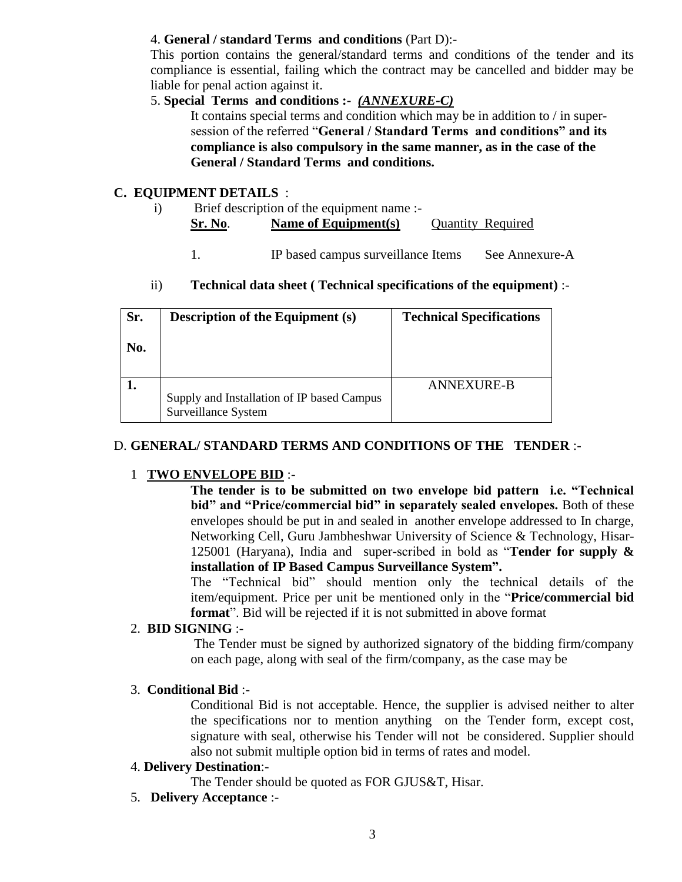# 4. **General / standard Terms and conditions** (Part D):-

This portion contains the general/standard terms and conditions of the tender and its compliance is essential, failing which the contract may be cancelled and bidder may be liable for penal action against it.

# 5. **Special Terms and conditions :-** *(ANNEXURE-C)*

It contains special terms and condition which may be in addition to / in supersession of the referred "**General / Standard Terms and conditions" and its compliance is also compulsory in the same manner, as in the case of the General / Standard Terms and conditions.**

# **C. EQUIPMENT DETAILS** :

- i) Brief description of the equipment name :- **Sr. No**. **Name of Equipment(s)** Quantity Required
	- 1. IP based campus surveillance Items See Annexure-A

# ii) **Technical data sheet ( Technical specifications of the equipment)** :-

| Sr.<br>No. | <b>Description of the Equipment (s)</b>                           | <b>Technical Specifications</b> |
|------------|-------------------------------------------------------------------|---------------------------------|
|            | Supply and Installation of IP based Campus<br>Surveillance System | ANNEXURE-B                      |

# D. **GENERAL/ STANDARD TERMS AND CONDITIONS OF THE TENDER** :-

## 1 **TWO ENVELOPE BID** :-

 **The tender is to be submitted on two envelope bid pattern i.e. "Technical bid" and "Price/commercial bid" in separately sealed envelopes.** Both of these envelopes should be put in and sealed in another envelope addressed to In charge, Networking Cell, Guru Jambheshwar University of Science & Technology, Hisar-125001 (Haryana), India and super-scribed in bold as "**Tender for supply & installation of IP Based Campus Surveillance System".**

The "Technical bid" should mention only the technical details of the item/equipment. Price per unit be mentioned only in the "**Price/commercial bid format**". Bid will be rejected if it is not submitted in above format

# 2. **BID SIGNING** :-

The Tender must be signed by authorized signatory of the bidding firm/company on each page, along with seal of the firm/company, as the case may be

## 3. **Conditional Bid** :-

Conditional Bid is not acceptable. Hence, the supplier is advised neither to alter the specifications nor to mention anything on the Tender form, except cost, signature with seal, otherwise his Tender will not be considered. Supplier should also not submit multiple option bid in terms of rates and model.

## 4. **Delivery Destination**:-

The Tender should be quoted as FOR GJUS&T, Hisar.

5. **Delivery Acceptance** :-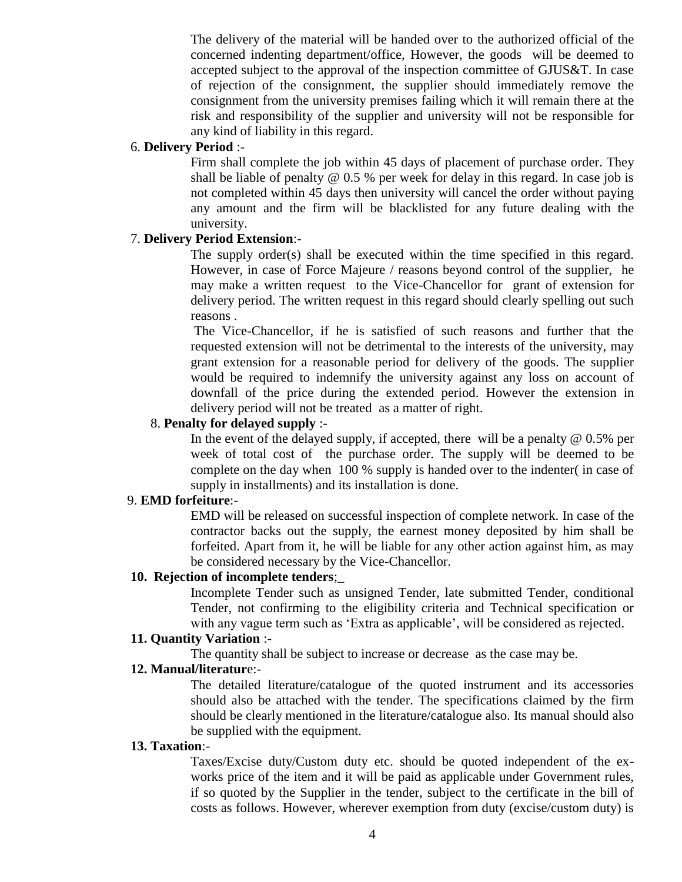The delivery of the material will be handed over to the authorized official of the concerned indenting department/office, However, the goods will be deemed to accepted subject to the approval of the inspection committee of GJUS&T. In case of rejection of the consignment, the supplier should immediately remove the consignment from the university premises failing which it will remain there at the risk and responsibility of the supplier and university will not be responsible for any kind of liability in this regard.

## 6. **Delivery Period** :-

Firm shall complete the job within 45 days of placement of purchase order. They shall be liable of penalty  $@0.5$  % per week for delay in this regard. In case job is not completed within 45 days then university will cancel the order without paying any amount and the firm will be blacklisted for any future dealing with the university.

## 7. **Delivery Period Extension**:-

The supply order(s) shall be executed within the time specified in this regard. However, in case of Force Majeure / reasons beyond control of the supplier, he may make a written request to the Vice-Chancellor for grant of extension for delivery period. The written request in this regard should clearly spelling out such reasons .

The Vice-Chancellor, if he is satisfied of such reasons and further that the requested extension will not be detrimental to the interests of the university, may grant extension for a reasonable period for delivery of the goods. The supplier would be required to indemnify the university against any loss on account of downfall of the price during the extended period. However the extension in delivery period will not be treated as a matter of right.

## 8. **Penalty for delayed supply** :-

In the event of the delayed supply, if accepted, there will be a penalty  $@$  0.5% per week of total cost of the purchase order. The supply will be deemed to be complete on the day when 100 % supply is handed over to the indenter( in case of supply in installments) and its installation is done.

## 9. **EMD forfeiture**:-

EMD will be released on successful inspection of complete network. In case of the contractor backs out the supply, the earnest money deposited by him shall be forfeited. Apart from it, he will be liable for any other action against him, as may be considered necessary by the Vice-Chancellor.

## **10. Rejection of incomplete tenders**;\_

Incomplete Tender such as unsigned Tender, late submitted Tender, conditional Tender, not confirming to the eligibility criteria and Technical specification or with any vague term such as 'Extra as applicable', will be considered as rejected.

## **11. Quantity Variation** :-

The quantity shall be subject to increase or decrease as the case may be.

## **12. Manual/literatur**e:-

The detailed literature/catalogue of the quoted instrument and its accessories should also be attached with the tender. The specifications claimed by the firm should be clearly mentioned in the literature/catalogue also. Its manual should also be supplied with the equipment.

## **13. Taxation**:-

Taxes/Excise duty/Custom duty etc. should be quoted independent of the exworks price of the item and it will be paid as applicable under Government rules, if so quoted by the Supplier in the tender, subject to the certificate in the bill of costs as follows. However, wherever exemption from duty (excise/custom duty) is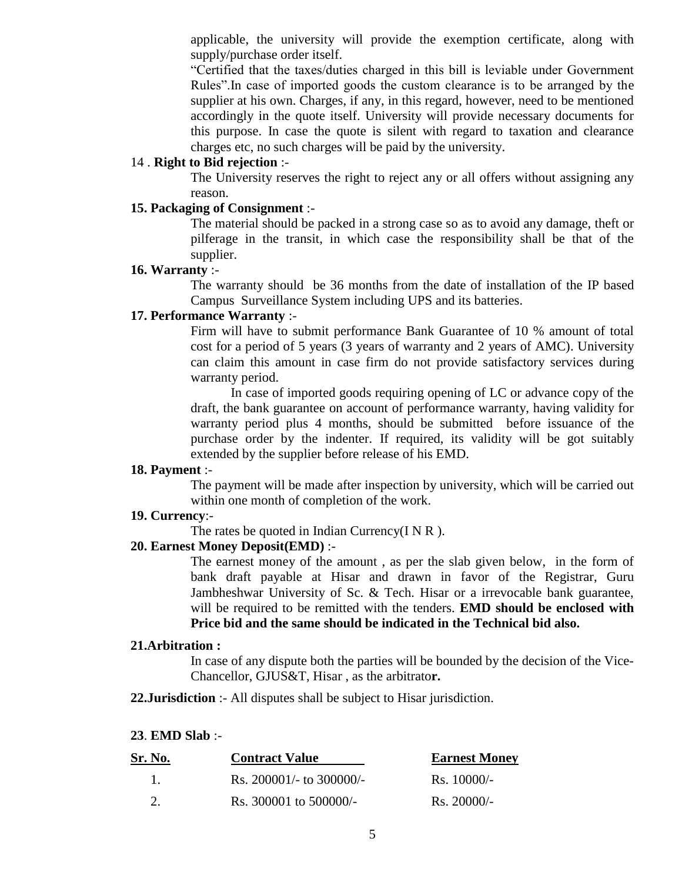applicable, the university will provide the exemption certificate, along with supply/purchase order itself.

"Certified that the taxes/duties charged in this bill is leviable under Government Rules".In case of imported goods the custom clearance is to be arranged by the supplier at his own. Charges, if any, in this regard, however, need to be mentioned accordingly in the quote itself. University will provide necessary documents for this purpose. In case the quote is silent with regard to taxation and clearance charges etc, no such charges will be paid by the university.

## 14 . **Right to Bid rejection** :-

The University reserves the right to reject any or all offers without assigning any reason.

## **15. Packaging of Consignment** :-

The material should be packed in a strong case so as to avoid any damage, theft or pilferage in the transit, in which case the responsibility shall be that of the supplier.

## **16. Warranty** :-

The warranty should be 36 months from the date of installation of the IP based Campus Surveillance System including UPS and its batteries.

## **17. Performance Warranty** :-

Firm will have to submit performance Bank Guarantee of 10 % amount of total cost for a period of 5 years (3 years of warranty and 2 years of AMC). University can claim this amount in case firm do not provide satisfactory services during warranty period.

In case of imported goods requiring opening of LC or advance copy of the draft, the bank guarantee on account of performance warranty, having validity for warranty period plus 4 months, should be submitted before issuance of the purchase order by the indenter. If required, its validity will be got suitably extended by the supplier before release of his EMD.

#### **18. Payment** :-

The payment will be made after inspection by university, which will be carried out within one month of completion of the work.

## **19. Currency**:-

The rates be quoted in Indian Currency( $I \, N \, R$ ).

## **20. Earnest Money Deposit(EMD)** :-

The earnest money of the amount , as per the slab given below, in the form of bank draft payable at Hisar and drawn in favor of the Registrar, Guru Jambheshwar University of Sc. & Tech. Hisar or a irrevocable bank guarantee, will be required to be remitted with the tenders. **EMD should be enclosed with Price bid and the same should be indicated in the Technical bid also.**

## **21.Arbitration :**

In case of any dispute both the parties will be bounded by the decision of the Vice-Chancellor, GJUS&T, Hisar , as the arbitrato**r.**

**22.Jurisdiction** :- All disputes shall be subject to Hisar jurisdiction.

#### **23**. **EMD Slab** :-

| Sr. No. | <b>Contract Value</b>        | <b>Earnest Money</b>  |  |  |
|---------|------------------------------|-----------------------|--|--|
|         | Rs. $200001/-$ to $300000/-$ | $\text{Rs.} 10000/-$  |  |  |
|         | Rs. 300001 to 500000/-       | $\text{Rs. } 20000/-$ |  |  |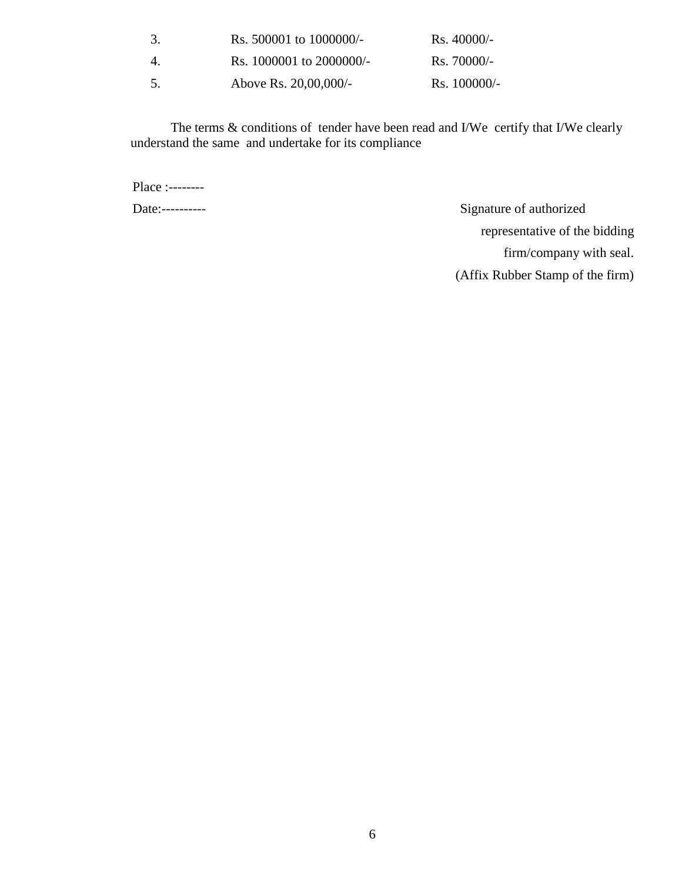| 3. | Rs. 500001 to 1000000/-  | $\text{Rs. } 40000/-$ |
|----|--------------------------|-----------------------|
| 4. | Rs. 1000001 to 2000000/- | $\text{Rs. } 70000/-$ |
| 5. | Above Rs. 20,00,000/-    | $\text{Rs.} 100000/-$ |

The terms & conditions of tender have been read and I/We certify that I/We clearly understand the same and undertake for its compliance

Place :--------

Date:---------- Signature of authorized representative of the bidding firm/company with seal. (Affix Rubber Stamp of the firm)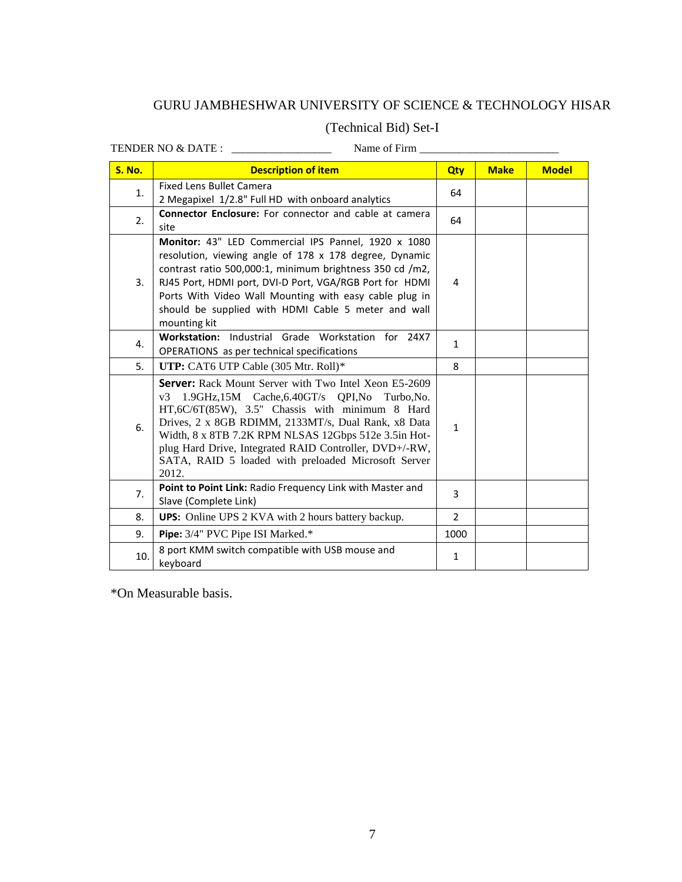# GURU JAMBHESHWAR UNIVERSITY OF SCIENCE & TECHNOLOGY HISAR

# (Technical Bid) Set-I

TENDER NO & DATE :  $\frac{1}{2}$  Name of Firm  $\frac{1}{2}$ 

| Name of Firm |  |
|--------------|--|
|--------------|--|

| <b>S. No.</b> | <b>Description of item</b>                                                                            | Qty            | <b>Make</b> | <b>Model</b> |
|---------------|-------------------------------------------------------------------------------------------------------|----------------|-------------|--------------|
| 1.            | <b>Fixed Lens Bullet Camera</b>                                                                       | 64             |             |              |
|               | 2 Megapixel 1/2.8" Full HD with onboard analytics                                                     |                |             |              |
| 2.            | <b>Connector Enclosure:</b> For connector and cable at camera                                         | 64             |             |              |
|               | site                                                                                                  |                |             |              |
|               | Monitor: 43" LED Commercial IPS Pannel, 1920 x 1080                                                   |                |             |              |
|               | resolution, viewing angle of 178 x 178 degree, Dynamic                                                |                |             |              |
|               | contrast ratio 500,000:1, minimum brightness 350 cd /m2,                                              |                |             |              |
| 3.            | RJ45 Port, HDMI port, DVI-D Port, VGA/RGB Port for HDMI                                               | 4              |             |              |
|               | Ports With Video Wall Mounting with easy cable plug in                                                |                |             |              |
|               | should be supplied with HDMI Cable 5 meter and wall                                                   |                |             |              |
|               | mounting kit<br>Workstation: Industrial Grade Workstation for 24X7                                    |                |             |              |
| 4.            | OPERATIONS as per technical specifications                                                            | $\mathbf{1}$   |             |              |
| 5.            | UTP: CAT6 UTP Cable (305 Mtr. Roll)*                                                                  | 8              |             |              |
|               |                                                                                                       |                |             |              |
|               | <b>Server:</b> Rack Mount Server with Two Intel Xeon E5-2609                                          |                |             |              |
|               | $v3$ 1.9GHz,15M Cache,6.40GT/s QPI,No<br>Turbo.No.<br>HT,6C/6T(85W), 3.5" Chassis with minimum 8 Hard |                |             |              |
|               | Drives, 2 x 8GB RDIMM, 2133MT/s, Dual Rank, x8 Data                                                   |                |             |              |
| 6.            | Width, 8 x 8TB 7.2K RPM NLSAS 12Gbps 512e 3.5in Hot-                                                  | $\mathbf{1}$   |             |              |
|               | plug Hard Drive, Integrated RAID Controller, DVD+/-RW,                                                |                |             |              |
|               | SATA, RAID 5 loaded with preloaded Microsoft Server                                                   |                |             |              |
|               | 2012.                                                                                                 |                |             |              |
| 7.            | Point to Point Link: Radio Frequency Link with Master and                                             | 3              |             |              |
|               | Slave (Complete Link)                                                                                 |                |             |              |
| 8.            | <b>UPS:</b> Online UPS 2 KVA with 2 hours battery backup.                                             | $\overline{2}$ |             |              |
| 9.            | Pipe: 3/4" PVC Pipe ISI Marked.*                                                                      | 1000           |             |              |
| 10.           | 8 port KMM switch compatible with USB mouse and                                                       | $\mathbf{1}$   |             |              |
|               | keyboard                                                                                              |                |             |              |

\*On Measurable basis.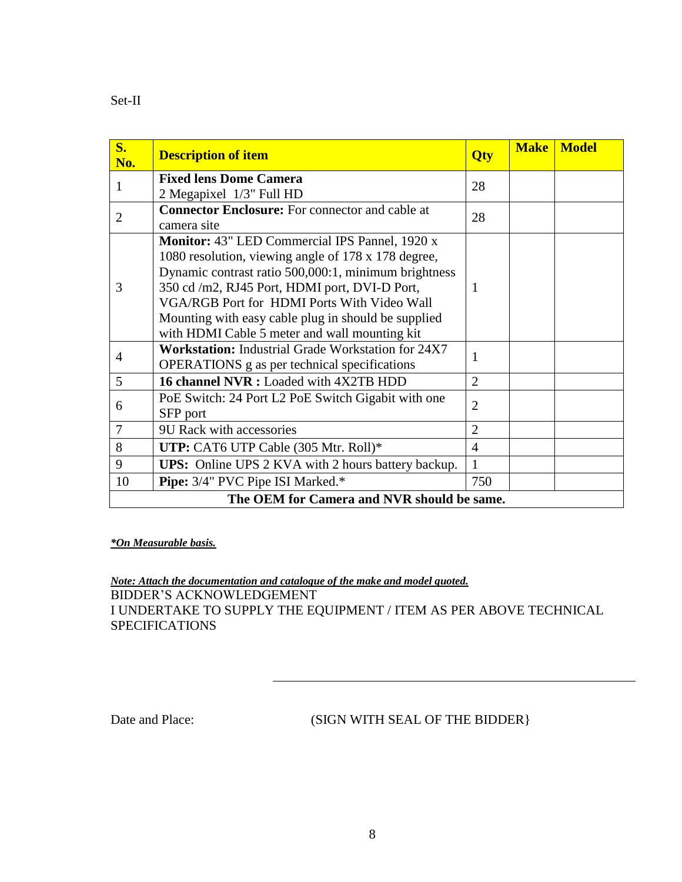| $S_{\bullet}$<br>No.                       | <b>Description of item</b>                                                                                                                                                                                                                                                                                                                                            | Qty            | <b>Make</b> | <b>Model</b> |  |
|--------------------------------------------|-----------------------------------------------------------------------------------------------------------------------------------------------------------------------------------------------------------------------------------------------------------------------------------------------------------------------------------------------------------------------|----------------|-------------|--------------|--|
| 1                                          | <b>Fixed lens Dome Camera</b><br>2 Megapixel 1/3" Full HD                                                                                                                                                                                                                                                                                                             | 28             |             |              |  |
| $\overline{2}$                             | <b>Connector Enclosure:</b> For connector and cable at<br>camera site                                                                                                                                                                                                                                                                                                 | 28             |             |              |  |
| 3                                          | Monitor: 43" LED Commercial IPS Pannel, 1920 x<br>1080 resolution, viewing angle of 178 x 178 degree,<br>Dynamic contrast ratio 500,000:1, minimum brightness<br>350 cd /m2, RJ45 Port, HDMI port, DVI-D Port,<br>VGA/RGB Port for HDMI Ports With Video Wall<br>Mounting with easy cable plug in should be supplied<br>with HDMI Cable 5 meter and wall mounting kit | 1              |             |              |  |
| 4                                          | <b>Workstation:</b> Industrial Grade Workstation for 24X7<br><b>OPERATIONS</b> g as per technical specifications                                                                                                                                                                                                                                                      | 1              |             |              |  |
| 5                                          | 16 channel NVR : Loaded with 4X2TB HDD                                                                                                                                                                                                                                                                                                                                | $\overline{2}$ |             |              |  |
| 6                                          | PoE Switch: 24 Port L2 PoE Switch Gigabit with one<br>SFP port                                                                                                                                                                                                                                                                                                        | $\overline{2}$ |             |              |  |
| 7                                          | 9U Rack with accessories                                                                                                                                                                                                                                                                                                                                              | $\overline{2}$ |             |              |  |
| 8                                          | UTP: CAT6 UTP Cable (305 Mtr. Roll)*                                                                                                                                                                                                                                                                                                                                  | $\overline{4}$ |             |              |  |
| 9                                          | <b>UPS:</b> Online UPS 2 KVA with 2 hours battery backup.                                                                                                                                                                                                                                                                                                             | 1              |             |              |  |
| 10                                         | Pipe: 3/4" PVC Pipe ISI Marked.*                                                                                                                                                                                                                                                                                                                                      | 750            |             |              |  |
| The OEM for Camera and NVR should be same. |                                                                                                                                                                                                                                                                                                                                                                       |                |             |              |  |

## *\*On Measurable basis.*

*Note: Attach the documentation and catalogue of the make and model quoted.* BIDDER"S ACKNOWLEDGEMENT I UNDERTAKE TO SUPPLY THE EQUIPMENT / ITEM AS PER ABOVE TECHNICAL SPECIFICATIONS

# Date and Place: (SIGN WITH SEAL OF THE BIDDER)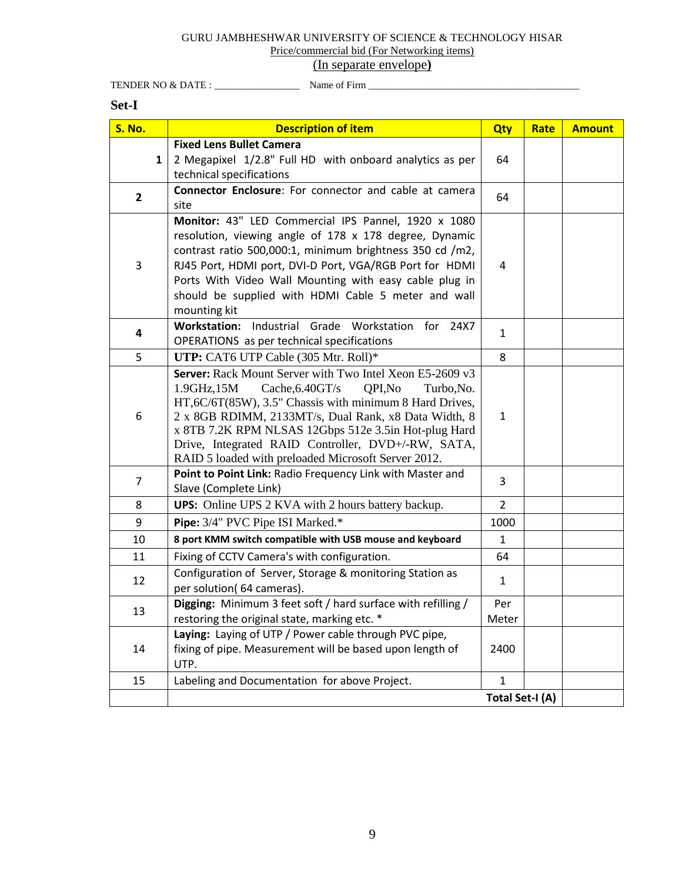## GURU JAMBHESHWAR UNIVERSITY OF SCIENCE & TECHNOLOGY HISAR Price/commercial bid (For Networking items)

# (In separate envelope**)**

TENDER NO & DATE : \_\_\_\_\_\_\_\_\_\_\_\_\_\_\_\_\_ Name of Firm \_\_\_\_\_\_\_\_\_\_\_\_\_\_\_\_\_\_\_\_\_\_\_\_\_\_\_\_\_\_\_\_\_\_\_\_\_\_\_\_\_\_

## **Set-I**

| <b>S. No.</b>  | <b>Description of item</b>                                                                                                                                                                                                                                                                                                                                                                                | Qty             | Rate | <b>Amount</b> |
|----------------|-----------------------------------------------------------------------------------------------------------------------------------------------------------------------------------------------------------------------------------------------------------------------------------------------------------------------------------------------------------------------------------------------------------|-----------------|------|---------------|
| $\mathbf{1}$   | <b>Fixed Lens Bullet Camera</b><br>2 Megapixel 1/2.8" Full HD with onboard analytics as per<br>technical specifications                                                                                                                                                                                                                                                                                   | 64              |      |               |
| $\overline{2}$ | Connector Enclosure: For connector and cable at camera<br>site                                                                                                                                                                                                                                                                                                                                            | 64              |      |               |
| 3              | Monitor: 43" LED Commercial IPS Pannel, 1920 x 1080<br>resolution, viewing angle of 178 x 178 degree, Dynamic<br>contrast ratio 500,000:1, minimum brightness 350 cd /m2,<br>RJ45 Port, HDMI port, DVI-D Port, VGA/RGB Port for HDMI<br>Ports With Video Wall Mounting with easy cable plug in<br>should be supplied with HDMI Cable 5 meter and wall<br>mounting kit                                     | 4               |      |               |
| 4              | Workstation: Industrial Grade Workstation for 24X7<br>OPERATIONS as per technical specifications                                                                                                                                                                                                                                                                                                          | $\mathbf{1}$    |      |               |
| 5              | UTP: CAT6 UTP Cable (305 Mtr. Roll)*                                                                                                                                                                                                                                                                                                                                                                      | 8               |      |               |
| 6              | Server: Rack Mount Server with Two Intel Xeon E5-2609 v3<br>1.9GHz,15M<br>Cache, 6.40GT/s<br>QPI,No<br>Turbo, No.<br>HT,6C/6T(85W), 3.5" Chassis with minimum 8 Hard Drives,<br>2 x 8GB RDIMM, 2133MT/s, Dual Rank, x8 Data Width, 8<br>x 8TB 7.2K RPM NLSAS 12Gbps 512e 3.5in Hot-plug Hard<br>Drive, Integrated RAID Controller, DVD+/-RW, SATA,<br>RAID 5 loaded with preloaded Microsoft Server 2012. | $\mathbf{1}$    |      |               |
| 7              | Point to Point Link: Radio Frequency Link with Master and<br>Slave (Complete Link)                                                                                                                                                                                                                                                                                                                        | 3               |      |               |
| 8              | <b>UPS:</b> Online UPS 2 KVA with 2 hours battery backup.                                                                                                                                                                                                                                                                                                                                                 | $\overline{2}$  |      |               |
| 9              | Pipe: 3/4" PVC Pipe ISI Marked.*                                                                                                                                                                                                                                                                                                                                                                          | 1000            |      |               |
| 10             | 8 port KMM switch compatible with USB mouse and keyboard                                                                                                                                                                                                                                                                                                                                                  | $\mathbf{1}$    |      |               |
| 11             | Fixing of CCTV Camera's with configuration.                                                                                                                                                                                                                                                                                                                                                               | 64              |      |               |
| 12             | Configuration of Server, Storage & monitoring Station as<br>per solution(64 cameras).                                                                                                                                                                                                                                                                                                                     | $\mathbf{1}$    |      |               |
| 13             | Digging: Minimum 3 feet soft / hard surface with refilling /<br>restoring the original state, marking etc. *                                                                                                                                                                                                                                                                                              | Per<br>Meter    |      |               |
| 14             | Laying: Laying of UTP / Power cable through PVC pipe,<br>fixing of pipe. Measurement will be based upon length of<br>UTP.                                                                                                                                                                                                                                                                                 | 2400            |      |               |
| 15             | Labeling and Documentation for above Project.                                                                                                                                                                                                                                                                                                                                                             | $\mathbf{1}$    |      |               |
|                |                                                                                                                                                                                                                                                                                                                                                                                                           | Total Set-I (A) |      |               |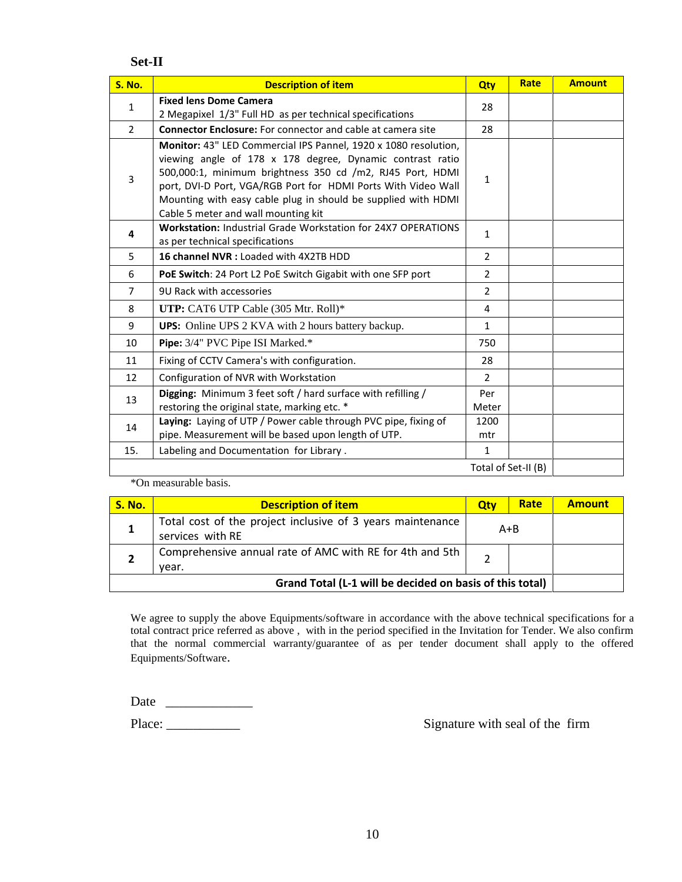## **Set-II**

| <b>S. No.</b>  | <b>Description of item</b>                                                                                                                                                                                                                                                                                                                                         | Qty            | Rate                | <b>Amount</b> |
|----------------|--------------------------------------------------------------------------------------------------------------------------------------------------------------------------------------------------------------------------------------------------------------------------------------------------------------------------------------------------------------------|----------------|---------------------|---------------|
| $\mathbf 1$    | <b>Fixed lens Dome Camera</b>                                                                                                                                                                                                                                                                                                                                      | 28             |                     |               |
|                | 2 Megapixel 1/3" Full HD as per technical specifications                                                                                                                                                                                                                                                                                                           |                |                     |               |
| $\overline{2}$ | <b>Connector Enclosure:</b> For connector and cable at camera site                                                                                                                                                                                                                                                                                                 | 28             |                     |               |
| $\overline{3}$ | Monitor: 43" LED Commercial IPS Pannel, 1920 x 1080 resolution,<br>viewing angle of 178 x 178 degree, Dynamic contrast ratio<br>500,000:1, minimum brightness 350 cd /m2, RJ45 Port, HDMI<br>port, DVI-D Port, VGA/RGB Port for HDMI Ports With Video Wall<br>Mounting with easy cable plug in should be supplied with HDMI<br>Cable 5 meter and wall mounting kit | 1              |                     |               |
| 4              | <b>Workstation: Industrial Grade Workstation for 24X7 OPERATIONS</b><br>as per technical specifications                                                                                                                                                                                                                                                            | $\mathbf{1}$   |                     |               |
| 5              | 16 channel NVR : Loaded with 4X2TB HDD                                                                                                                                                                                                                                                                                                                             | $\overline{2}$ |                     |               |
| 6              | PoE Switch: 24 Port L2 PoE Switch Gigabit with one SFP port                                                                                                                                                                                                                                                                                                        | $\overline{2}$ |                     |               |
| $\overline{7}$ | 9U Rack with accessories                                                                                                                                                                                                                                                                                                                                           | $\overline{2}$ |                     |               |
| 8              | UTP: CAT6 UTP Cable (305 Mtr. Roll)*                                                                                                                                                                                                                                                                                                                               | 4              |                     |               |
| 9              | <b>UPS:</b> Online UPS 2 KVA with 2 hours battery backup.                                                                                                                                                                                                                                                                                                          | $\mathbf{1}$   |                     |               |
| 10             | Pipe: 3/4" PVC Pipe ISI Marked.*                                                                                                                                                                                                                                                                                                                                   | 750            |                     |               |
| 11             | Fixing of CCTV Camera's with configuration.                                                                                                                                                                                                                                                                                                                        | 28             |                     |               |
| 12             | Configuration of NVR with Workstation                                                                                                                                                                                                                                                                                                                              | $\overline{2}$ |                     |               |
| 13             | Digging: Minimum 3 feet soft / hard surface with refilling /<br>restoring the original state, marking etc. *                                                                                                                                                                                                                                                       | Per<br>Meter   |                     |               |
| 14             | Laying: Laying of UTP / Power cable through PVC pipe, fixing of<br>pipe. Measurement will be based upon length of UTP.                                                                                                                                                                                                                                             | 1200<br>mtr    |                     |               |
| 15.            | Labeling and Documentation for Library.                                                                                                                                                                                                                                                                                                                            | $\mathbf{1}$   |                     |               |
|                |                                                                                                                                                                                                                                                                                                                                                                    |                | Total of Set-II (B) |               |

\*On measurable basis.

| <b>S. No.</b>                                            | <b>Description of item</b>                                                     | Qtv     | Rate | <b>Amount</b> |
|----------------------------------------------------------|--------------------------------------------------------------------------------|---------|------|---------------|
|                                                          | Total cost of the project inclusive of 3 years maintenance<br>services with RE | $A + B$ |      |               |
|                                                          | Comprehensive annual rate of AMC with RE for 4th and 5th<br>year.              |         |      |               |
| Grand Total (L-1 will be decided on basis of this total) |                                                                                |         |      |               |

We agree to supply the above Equipments/software in accordance with the above technical specifications for a total contract price referred as above , with in the period specified in the Invitation for Tender. We also confirm that the normal commercial warranty/guarantee of as per tender document shall apply to the offered Equipments/Software.

Date \_\_\_\_\_\_\_\_\_\_\_\_\_

Place: \_\_\_\_\_\_\_\_\_\_\_ Signature with seal of the firm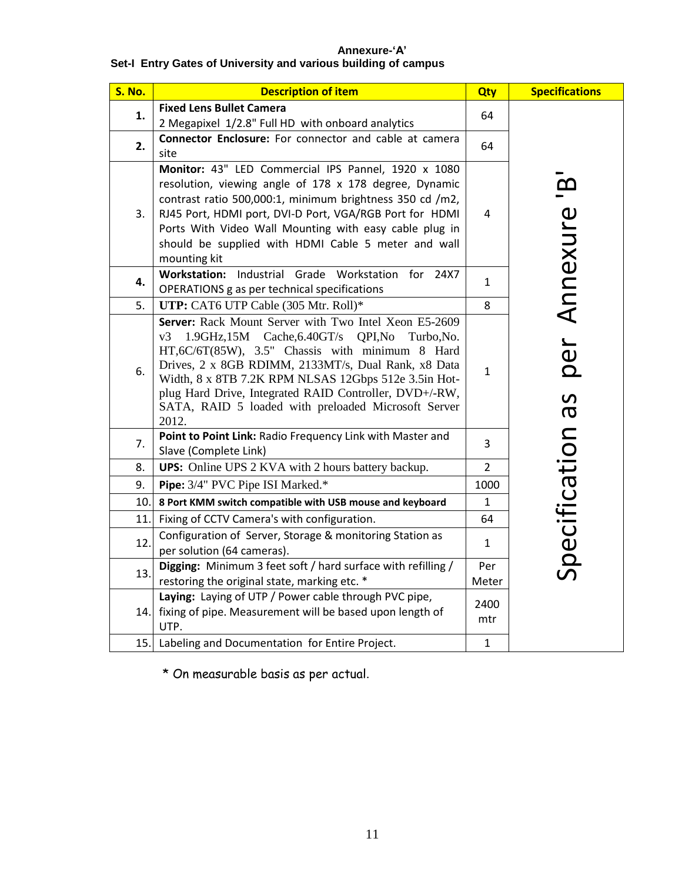## **Annexure-'A' Set-I Entry Gates of University and various building of campus**

| <b>S. No.</b> | <b>Description of item</b>                                                                                                                                                                                                                                                                                                                                                                                                     | Qty            | <b>Specifications</b>             |
|---------------|--------------------------------------------------------------------------------------------------------------------------------------------------------------------------------------------------------------------------------------------------------------------------------------------------------------------------------------------------------------------------------------------------------------------------------|----------------|-----------------------------------|
| 1.            | <b>Fixed Lens Bullet Camera</b><br>2 Megapixel 1/2.8" Full HD with onboard analytics                                                                                                                                                                                                                                                                                                                                           | 64             |                                   |
| 2.            | Connector Enclosure: For connector and cable at camera<br>site                                                                                                                                                                                                                                                                                                                                                                 | 64             |                                   |
| 3.            | Monitor: 43" LED Commercial IPS Pannel, 1920 x 1080<br>resolution, viewing angle of 178 x 178 degree, Dynamic<br>contrast ratio 500,000:1, minimum brightness 350 cd /m2,<br>RJ45 Port, HDMI port, DVI-D Port, VGA/RGB Port for HDMI<br>Ports With Video Wall Mounting with easy cable plug in<br>should be supplied with HDMI Cable 5 meter and wall<br>mounting kit                                                          | 4              | per Annexure 'B                   |
| 4.            | <b>Workstation:</b><br>Industrial<br>Grade Workstation<br>for<br>24X7<br>OPERATIONS g as per technical specifications                                                                                                                                                                                                                                                                                                          | $\mathbf{1}$   |                                   |
| 5.            | UTP: CAT6 UTP Cable (305 Mtr. Roll)*                                                                                                                                                                                                                                                                                                                                                                                           | 8              |                                   |
| 6.            | Server: Rack Mount Server with Two Intel Xeon E5-2609<br>$1.9\text{GHz}, 15\text{M}$ Cache, 6.40GT/s<br>QPI,No<br>v3<br>Turbo, No.<br>HT,6C/6T(85W), 3.5" Chassis with minimum 8 Hard<br>Drives, 2 x 8GB RDIMM, 2133MT/s, Dual Rank, x8 Data<br>Width, 8 x 8TB 7.2K RPM NLSAS 12Gbps 512e 3.5in Hot-<br>plug Hard Drive, Integrated RAID Controller, DVD+/-RW,<br>SATA, RAID 5 loaded with preloaded Microsoft Server<br>2012. | $\mathbf{1}$   | $\Omega$<br>$\boldsymbol{\sigma}$ |
| 7.            | Point to Point Link: Radio Frequency Link with Master and<br>Slave (Complete Link)                                                                                                                                                                                                                                                                                                                                             | 3              |                                   |
| 8.            | <b>UPS:</b> Online UPS 2 KVA with 2 hours battery backup.                                                                                                                                                                                                                                                                                                                                                                      | $\overline{2}$ |                                   |
| 9.            | Pipe: 3/4" PVC Pipe ISI Marked.*                                                                                                                                                                                                                                                                                                                                                                                               | 1000           |                                   |
| 10.           | 8 Port KMM switch compatible with USB mouse and keyboard                                                                                                                                                                                                                                                                                                                                                                       | $\mathbf{1}$   |                                   |
| 11.           | Fixing of CCTV Camera's with configuration.                                                                                                                                                                                                                                                                                                                                                                                    | 64             |                                   |
| 12.           | Configuration of Server, Storage & monitoring Station as<br>per solution (64 cameras).                                                                                                                                                                                                                                                                                                                                         | 1              | Specification                     |
| 13.           | Digging: Minimum 3 feet soft / hard surface with refilling /<br>restoring the original state, marking etc. *                                                                                                                                                                                                                                                                                                                   | Per<br>Meter   |                                   |
| 14.I          | Laying: Laying of UTP / Power cable through PVC pipe,<br>fixing of pipe. Measurement will be based upon length of<br>UTP.                                                                                                                                                                                                                                                                                                      | 2400<br>mtr    |                                   |
|               | 15. Labeling and Documentation for Entire Project.                                                                                                                                                                                                                                                                                                                                                                             | $\mathbf 1$    |                                   |

\* On measurable basis as per actual.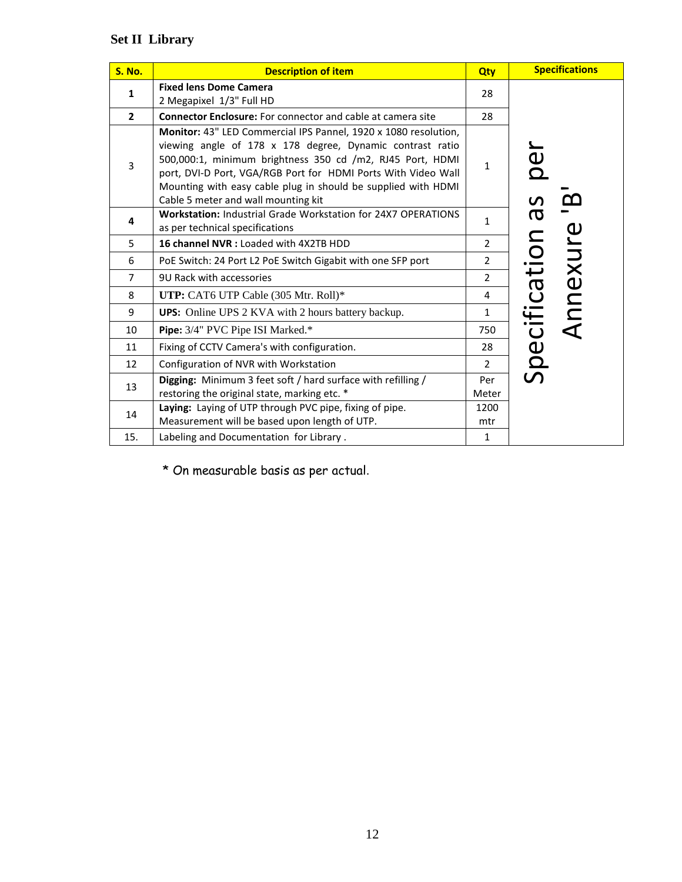# **Set II Library**

| <b>S. No.</b>  | <b>Description of item</b>                                                                                                                                                                                                                                                                                                                                         | Qty            | <b>Specifications</b>     |  |
|----------------|--------------------------------------------------------------------------------------------------------------------------------------------------------------------------------------------------------------------------------------------------------------------------------------------------------------------------------------------------------------------|----------------|---------------------------|--|
| $\mathbf{1}$   | <b>Fixed lens Dome Camera</b>                                                                                                                                                                                                                                                                                                                                      | 28             |                           |  |
|                | 2 Megapixel 1/3" Full HD                                                                                                                                                                                                                                                                                                                                           |                |                           |  |
| $\mathbf{2}$   | <b>Connector Enclosure:</b> For connector and cable at camera site<br>28                                                                                                                                                                                                                                                                                           |                |                           |  |
| $\overline{3}$ | Monitor: 43" LED Commercial IPS Pannel, 1920 x 1080 resolution,<br>viewing angle of 178 x 178 degree, Dynamic contrast ratio<br>500,000:1, minimum brightness 350 cd /m2, RJ45 Port, HDMI<br>port, DVI-D Port, VGA/RGB Port for HDMI Ports With Video Wall<br>Mounting with easy cable plug in should be supplied with HDMI<br>Cable 5 meter and wall mounting kit | $\mathbf{1}$   | ied<br>D<br><b>S</b>      |  |
| 4              | <b>Workstation: Industrial Grade Workstation for 24X7 OPERATIONS</b><br>as per technical specifications                                                                                                                                                                                                                                                            | $\mathbf{1}$   | $\boldsymbol{\varpi}$     |  |
| 5              | 16 channel NVR : Loaded with 4X2TB HDD                                                                                                                                                                                                                                                                                                                             | $\overline{2}$ |                           |  |
| 6              | PoE Switch: 24 Port L2 PoE Switch Gigabit with one SFP port                                                                                                                                                                                                                                                                                                        | $\overline{2}$ | Annexure<br>Specification |  |
| $\overline{7}$ | 9U Rack with accessories                                                                                                                                                                                                                                                                                                                                           | $\overline{2}$ |                           |  |
| 8              | UTP: CAT6 UTP Cable (305 Mtr. Roll)*                                                                                                                                                                                                                                                                                                                               | 4              |                           |  |
| 9              | <b>UPS:</b> Online UPS 2 KVA with 2 hours battery backup.                                                                                                                                                                                                                                                                                                          | $\mathbf{1}$   |                           |  |
| 10             | Pipe: 3/4" PVC Pipe ISI Marked.*                                                                                                                                                                                                                                                                                                                                   | 750            |                           |  |
| 11             | Fixing of CCTV Camera's with configuration.                                                                                                                                                                                                                                                                                                                        | 28             |                           |  |
| 12             | Configuration of NVR with Workstation                                                                                                                                                                                                                                                                                                                              | $\overline{2}$ |                           |  |
| 13             | Digging: Minimum 3 feet soft / hard surface with refilling /<br>restoring the original state, marking etc. *                                                                                                                                                                                                                                                       | Per<br>Meter   |                           |  |
| 14             | Laying: Laying of UTP through PVC pipe, fixing of pipe.<br>Measurement will be based upon length of UTP.                                                                                                                                                                                                                                                           | 1200<br>mtr    |                           |  |
| 15.            | Labeling and Documentation for Library.                                                                                                                                                                                                                                                                                                                            | 1              |                           |  |

\* On measurable basis as per actual.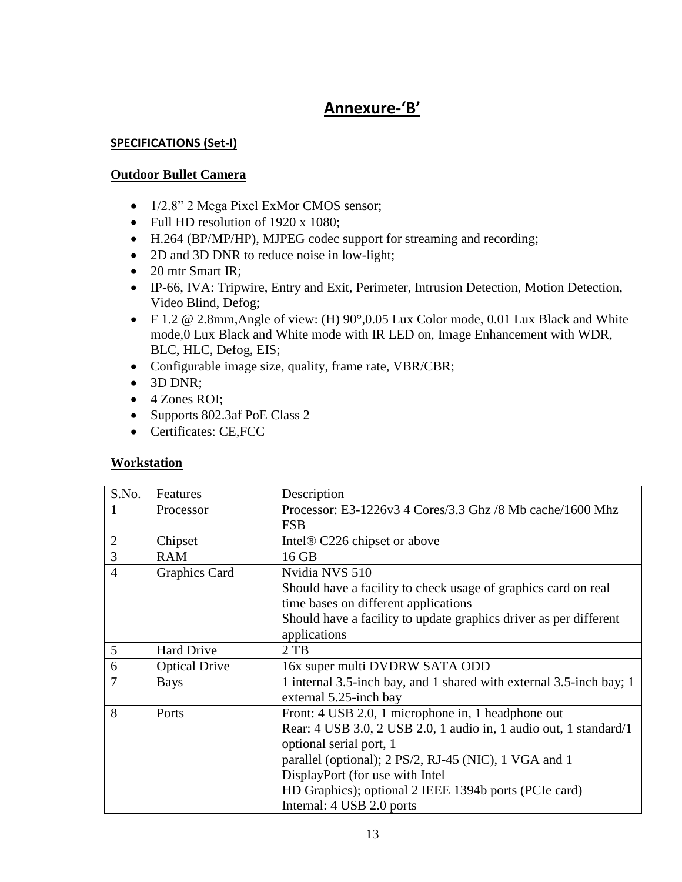# **Annexure-'B'**

# **SPECIFICATIONS (Set-I)**

# **Outdoor Bullet Camera**

- 1/2.8" 2 Mega Pixel ExMor CMOS sensor;
- Full HD resolution of 1920 x 1080;
- H.264 (BP/MP/HP), MJPEG codec support for streaming and recording;
- 2D and 3D DNR to reduce noise in low-light;
- 20 mtr Smart IR;
- IP-66, IVA: Tripwire, Entry and Exit, Perimeter, Intrusion Detection, Motion Detection, Video Blind, Defog;
- F 1.2 @ 2.8mm,Angle of view: (H) 90°,0.05 Lux Color mode, 0.01 Lux Black and White mode,0 Lux Black and White mode with IR LED on, Image Enhancement with WDR, BLC, HLC, Defog, EIS;
- Configurable image size, quality, frame rate, VBR/CBR;
- 3D DNR;
- 4 Zones ROI;
- Supports 802.3af PoE Class 2
- Certificates: CE,FCC

# **Workstation**

| S.No.          | Features             | Description                                                         |
|----------------|----------------------|---------------------------------------------------------------------|
|                | Processor            | Processor: E3-1226v3 4 Cores/3.3 Ghz /8 Mb cache/1600 Mhz           |
|                |                      | <b>FSB</b>                                                          |
| $\overline{2}$ | Chipset              | Intel <sup>®</sup> C226 chipset or above                            |
| $\overline{3}$ | <b>RAM</b>           | 16 GB                                                               |
| $\overline{4}$ | <b>Graphics Card</b> | Nvidia NVS 510                                                      |
|                |                      | Should have a facility to check usage of graphics card on real      |
|                |                      | time bases on different applications                                |
|                |                      | Should have a facility to update graphics driver as per different   |
|                |                      | applications                                                        |
| 5              | <b>Hard Drive</b>    | $2$ TB                                                              |
| 6              | <b>Optical Drive</b> | 16x super multi DVDRW SATA ODD                                      |
| 7              | <b>Bays</b>          | 1 internal 3.5-inch bay, and 1 shared with external 3.5-inch bay; 1 |
|                |                      | external 5.25-inch bay                                              |
| 8              | Ports                | Front: 4 USB 2.0, 1 microphone in, 1 headphone out                  |
|                |                      | Rear: 4 USB 3.0, 2 USB 2.0, 1 audio in, 1 audio out, 1 standard/1   |
|                |                      | optional serial port, 1                                             |
|                |                      | parallel (optional); 2 PS/2, RJ-45 (NIC), 1 VGA and 1               |
|                |                      | DisplayPort (for use with Intel                                     |
|                |                      | HD Graphics); optional 2 IEEE 1394b ports (PCIe card)               |
|                |                      | Internal: 4 USB 2.0 ports                                           |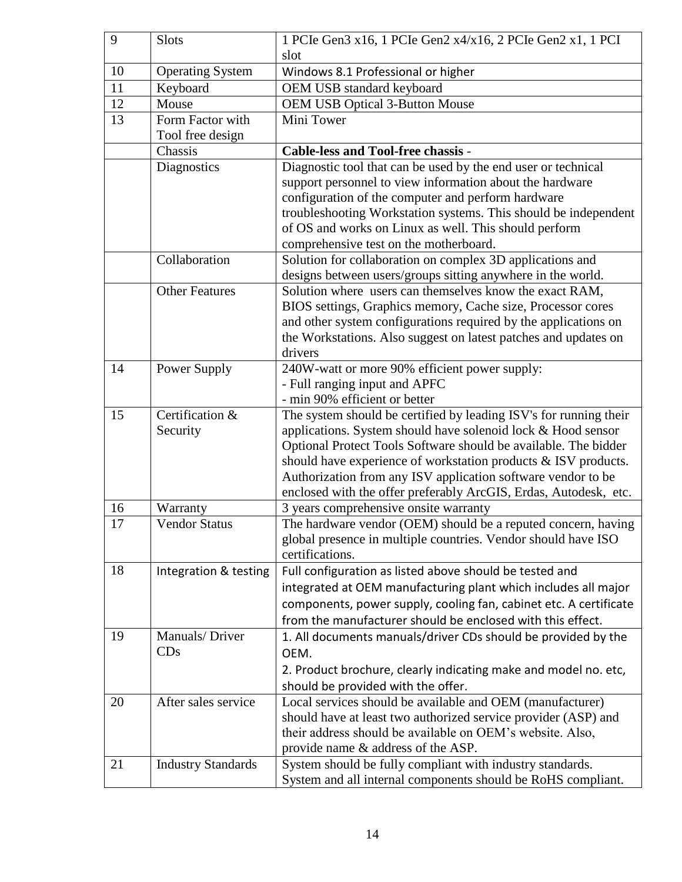| 9  | <b>Slots</b>              | 1 PCIe Gen3 x16, 1 PCIe Gen2 x4/x16, 2 PCIe Gen2 x1, 1 PCI                                                                         |
|----|---------------------------|------------------------------------------------------------------------------------------------------------------------------------|
|    |                           | slot                                                                                                                               |
| 10 | <b>Operating System</b>   | Windows 8.1 Professional or higher                                                                                                 |
| 11 | Keyboard                  | OEM USB standard keyboard                                                                                                          |
| 12 | Mouse                     | <b>OEM USB Optical 3-Button Mouse</b>                                                                                              |
| 13 | Form Factor with          | Mini Tower                                                                                                                         |
|    | Tool free design          |                                                                                                                                    |
|    | Chassis                   | Cable-less and Tool-free chassis -                                                                                                 |
|    | Diagnostics               | Diagnostic tool that can be used by the end user or technical                                                                      |
|    |                           | support personnel to view information about the hardware                                                                           |
|    |                           | configuration of the computer and perform hardware                                                                                 |
|    |                           | troubleshooting Workstation systems. This should be independent                                                                    |
|    |                           | of OS and works on Linux as well. This should perform                                                                              |
|    |                           | comprehensive test on the motherboard.                                                                                             |
|    | Collaboration             | Solution for collaboration on complex 3D applications and                                                                          |
|    |                           | designs between users/groups sitting anywhere in the world.                                                                        |
|    | <b>Other Features</b>     | Solution where users can themselves know the exact RAM,                                                                            |
|    |                           | BIOS settings, Graphics memory, Cache size, Processor cores                                                                        |
|    |                           | and other system configurations required by the applications on<br>the Workstations. Also suggest on latest patches and updates on |
|    |                           | drivers                                                                                                                            |
| 14 | Power Supply              | 240W-watt or more 90% efficient power supply:                                                                                      |
|    |                           | - Full ranging input and APFC                                                                                                      |
|    |                           | - min 90% efficient or better                                                                                                      |
| 15 | Certification &           | The system should be certified by leading ISV's for running their                                                                  |
|    | Security                  | applications. System should have solenoid lock & Hood sensor                                                                       |
|    |                           | Optional Protect Tools Software should be available. The bidder                                                                    |
|    |                           | should have experience of workstation products & ISV products.                                                                     |
|    |                           | Authorization from any ISV application software vendor to be                                                                       |
|    |                           | enclosed with the offer preferably ArcGIS, Erdas, Autodesk, etc.                                                                   |
| 16 | Warranty                  | 3 years comprehensive onsite warranty                                                                                              |
| 17 | <b>Vendor Status</b>      | The hardware vendor (OEM) should be a reputed concern, having                                                                      |
|    |                           | global presence in multiple countries. Vendor should have ISO                                                                      |
|    |                           | certifications.                                                                                                                    |
| 18 | Integration & testing     | Full configuration as listed above should be tested and                                                                            |
|    |                           | integrated at OEM manufacturing plant which includes all major                                                                     |
|    |                           | components, power supply, cooling fan, cabinet etc. A certificate                                                                  |
|    |                           | from the manufacturer should be enclosed with this effect.                                                                         |
| 19 | Manuals/Driver            | 1. All documents manuals/driver CDs should be provided by the                                                                      |
|    | CDs                       | OEM.                                                                                                                               |
|    |                           | 2. Product brochure, clearly indicating make and model no. etc,                                                                    |
|    |                           | should be provided with the offer.                                                                                                 |
| 20 | After sales service       | Local services should be available and OEM (manufacturer)                                                                          |
|    |                           | should have at least two authorized service provider (ASP) and                                                                     |
|    |                           | their address should be available on OEM's website. Also,                                                                          |
|    |                           | provide name & address of the ASP.                                                                                                 |
| 21 | <b>Industry Standards</b> | System should be fully compliant with industry standards.                                                                          |
|    |                           | System and all internal components should be RoHS compliant.                                                                       |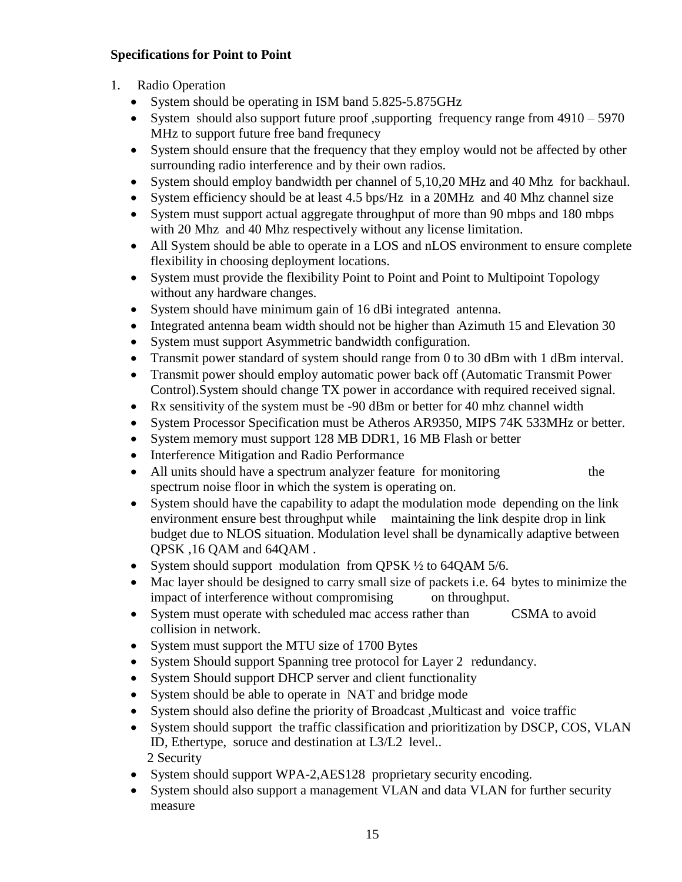# **Specifications for Point to Point**

- 1. Radio Operation
	- System should be operating in ISM band 5.825-5.875GHz
	- System should also support future proof , supporting frequency range from  $4910 5970$ MHz to support future free band frequnecy
	- System should ensure that the frequency that they employ would not be affected by other surrounding radio interference and by their own radios.
	- System should employ bandwidth per channel of 5,10,20 MHz and 40 Mhz for backhaul.
	- System efficiency should be at least 4.5 bps/Hz in a 20MHz and 40 Mhz channel size
	- System must support actual aggregate throughput of more than 90 mbps and 180 mbps with 20 Mhz and 40 Mhz respectively without any license limitation.
	- All System should be able to operate in a LOS and nLOS environment to ensure complete flexibility in choosing deployment locations.
	- System must provide the flexibility Point to Point and Point to Multipoint Topology without any hardware changes.
	- System should have minimum gain of 16 dBi integrated antenna.
	- Integrated antenna beam width should not be higher than Azimuth 15 and Elevation 30
	- System must support Asymmetric bandwidth configuration.
	- Transmit power standard of system should range from 0 to 30 dBm with 1 dBm interval.
	- Transmit power should employ automatic power back off (Automatic Transmit Power Control).System should change TX power in accordance with required received signal.
	- Rx sensitivity of the system must be -90 dBm or better for 40 mhz channel width
	- System Processor Specification must be Atheros AR9350, MIPS 74K 533MHz or better.
	- System memory must support 128 MB DDR1, 16 MB Flash or better
	- Interference Mitigation and Radio Performance
	- All units should have a spectrum analyzer feature for monitoring the spectrum noise floor in which the system is operating on.
	- System should have the capability to adapt the modulation mode depending on the link environment ensure best throughput while maintaining the link despite drop in link budget due to NLOS situation. Modulation level shall be dynamically adaptive between QPSK ,16 QAM and 64QAM *.*
	- System should support modulation from QPSK ½ to 64QAM 5/6.
	- Mac layer should be designed to carry small size of packets i.e. 64 bytes to minimize the impact of interference without compromising on throughput.
	- System must operate with scheduled mac access rather than CSMA to avoid collision in network.
	- System must support the MTU size of 1700 Bytes
	- System Should support Spanning tree protocol for Layer 2 redundancy.
	- System Should support DHCP server and client functionality
	- System should be able to operate in NAT and bridge mode
	- System should also define the priority of Broadcast ,Multicast and voice traffic
	- System should support the traffic classification and prioritization by DSCP, COS, VLAN ID, Ethertype, soruce and destination at L3/L2 level.. 2 Security
	- System should support WPA-2, AES128 proprietary security encoding.
	- System should also support a management VLAN and data VLAN for further security measure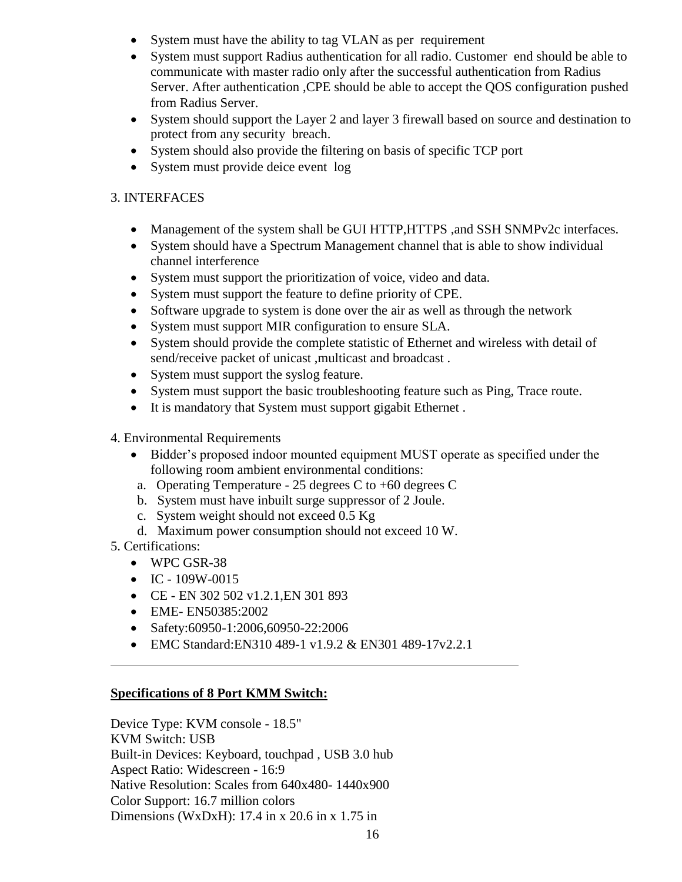- System must have the ability to tag VLAN as per requirement
- System must support Radius authentication for all radio. Customer end should be able to communicate with master radio only after the successful authentication from Radius Server. After authentication ,CPE should be able to accept the QOS configuration pushed from Radius Server.
- System should support the Layer 2 and layer 3 firewall based on source and destination to protect from any security breach.
- System should also provide the filtering on basis of specific TCP port
- System must provide deice event log

# 3. INTERFACES

- Management of the system shall be GUI HTTP, HTTPS , and SSH SNMPv2c interfaces.
- System should have a Spectrum Management channel that is able to show individual channel interference
- System must support the prioritization of voice, video and data.
- System must support the feature to define priority of CPE.
- Software upgrade to system is done over the air as well as through the network
- System must support MIR configuration to ensure SLA.
- System should provide the complete statistic of Ethernet and wireless with detail of send/receive packet of unicast ,multicast and broadcast .
- System must support the syslog feature.
- System must support the basic troubleshooting feature such as Ping, Trace route.
- It is mandatory that System must support gigabit Ethernet.
- 4. Environmental Requirements
	- Bidder"s proposed indoor mounted equipment MUST operate as specified under the following room ambient environmental conditions:
	- a. Operating Temperature 25 degrees C to  $+60$  degrees C
	- b. System must have inbuilt surge suppressor of 2 Joule.
	- c. System weight should not exceed 0.5 Kg
	- d. Maximum power consumption should not exceed 10 W.
- 5. Certifications:
	- WPC GSR-38
	- $\bullet$  IC 109W-0015
	- CE EN 302 502 v1.2.1,EN 301 893
	- EME- EN50385:2002
	- Safety:60950-1:2006,60950-22:2006
	- EMC Standard: EN310 489-1 v1.9.2 & EN301 489-17v2.2.1

# **Specifications of 8 Port KMM Switch:**

Device Type: KVM console - 18.5" KVM Switch: USB Built-in Devices: Keyboard, touchpad , USB 3.0 hub Aspect Ratio: Widescreen - 16:9 Native Resolution: Scales from 640x480- 1440x900 Color Support: 16.7 million colors Dimensions (WxDxH): 17.4 in x 20.6 in x 1.75 in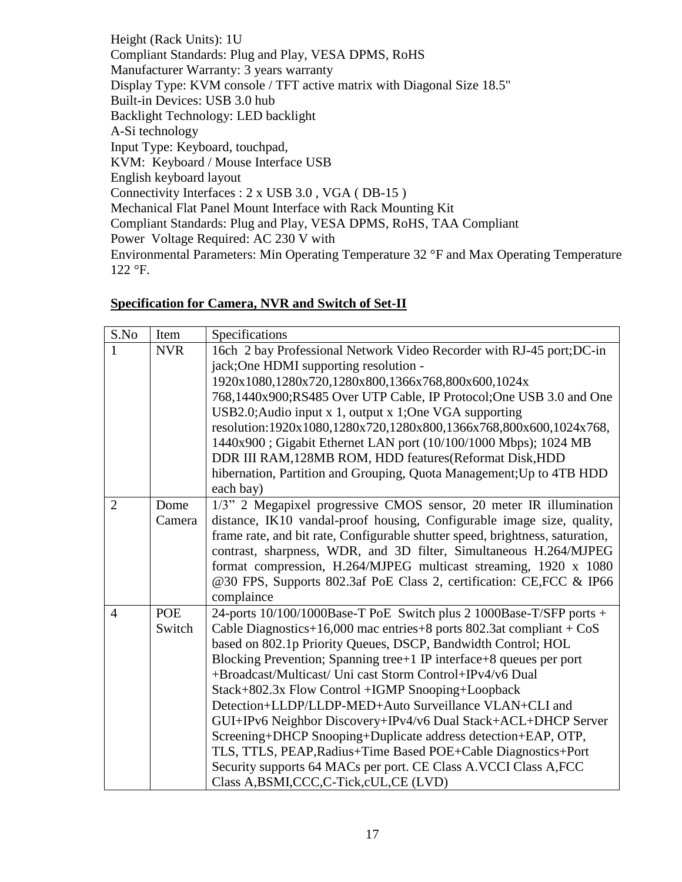Height (Rack Units): 1U Compliant Standards: Plug and Play, VESA DPMS, RoHS Manufacturer Warranty: 3 years warranty Display Type: KVM console / TFT active matrix with Diagonal Size 18.5" Built-in Devices: USB 3.0 hub Backlight Technology: LED backlight A-Si technology Input Type: Keyboard, touchpad, KVM: Keyboard / Mouse Interface USB English keyboard layout Connectivity Interfaces : 2 x USB 3.0 , VGA ( DB-15 ) Mechanical Flat Panel Mount Interface with Rack Mounting Kit Compliant Standards: Plug and Play, VESA DPMS, RoHS, TAA Compliant Power Voltage Required: AC 230 V with Environmental Parameters: Min Operating Temperature 32 °F and Max Operating Temperature 122 °F.

# **Specification for Camera, NVR and Switch of Set-II**

| S.No           | Item       | Specifications                                                                                                                           |
|----------------|------------|------------------------------------------------------------------------------------------------------------------------------------------|
| 1              | <b>NVR</b> | 16ch 2 bay Professional Network Video Recorder with RJ-45 port; DC-in                                                                    |
|                |            | jack; One HDMI supporting resolution -                                                                                                   |
|                |            | 1920x1080,1280x720,1280x800,1366x768,800x600,1024x                                                                                       |
|                |            | 768,1440x900;RS485 Over UTP Cable, IP Protocol;One USB 3.0 and One                                                                       |
|                |            | USB2.0; Audio input x 1, output x 1; One VGA supporting                                                                                  |
|                |            | resolution:1920x1080,1280x720,1280x800,1366x768,800x600,1024x768,                                                                        |
|                |            | 1440x900; Gigabit Ethernet LAN port (10/100/1000 Mbps); 1024 MB                                                                          |
|                |            | DDR III RAM, 128MB ROM, HDD features (Reformat Disk, HDD                                                                                 |
|                |            | hibernation, Partition and Grouping, Quota Management; Up to 4TB HDD                                                                     |
|                |            | each bay)                                                                                                                                |
| $\overline{2}$ | Dome       | 1/3" 2 Megapixel progressive CMOS sensor, 20 meter IR illumination                                                                       |
|                | Camera     | distance, IK10 vandal-proof housing, Configurable image size, quality,                                                                   |
|                |            | frame rate, and bit rate, Configurable shutter speed, brightness, saturation,                                                            |
|                |            | contrast, sharpness, WDR, and 3D filter, Simultaneous H.264/MJPEG                                                                        |
|                |            | format compression, H.264/MJPEG multicast streaming, 1920 x 1080                                                                         |
|                |            | @30 FPS, Supports 802.3af PoE Class 2, certification: CE,FCC & IP66                                                                      |
|                |            | complaince                                                                                                                               |
| $\overline{4}$ | <b>POE</b> | 24-ports 10/100/1000Base-T PoE Switch plus 2 1000Base-T/SFP ports +                                                                      |
|                | Switch     | Cable Diagnostics+16,000 mac entries+8 ports $802.3$ at compliant + CoS<br>based on 802.1p Priority Queues, DSCP, Bandwidth Control; HOL |
|                |            | Blocking Prevention; Spanning tree+1 IP interface+8 queues per port                                                                      |
|                |            | +Broadcast/Multicast/ Uni cast Storm Control+IPv4/v6 Dual                                                                                |
|                |            | Stack+802.3x Flow Control +IGMP Snooping+Loopback                                                                                        |
|                |            | Detection+LLDP/LLDP-MED+Auto Surveillance VLAN+CLI and                                                                                   |
|                |            | GUI+IPv6 Neighbor Discovery+IPv4/v6 Dual Stack+ACL+DHCP Server                                                                           |
|                |            | Screening+DHCP Snooping+Duplicate address detection+EAP, OTP,                                                                            |
|                |            | TLS, TTLS, PEAP, Radius+Time Based POE+Cable Diagnostics+Port                                                                            |
|                |            | Security supports 64 MACs per port. CE Class A.VCCI Class A,FCC                                                                          |
|                |            | Class A, BSMI, CCC, C-Tick, cUL, CE (LVD)                                                                                                |